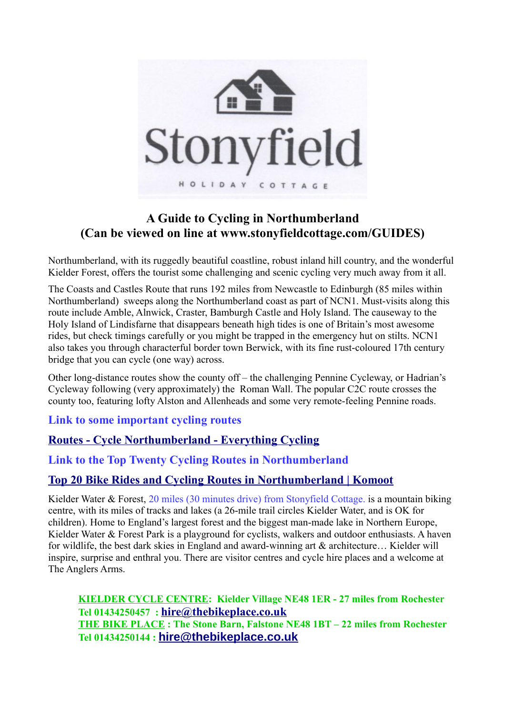

# **A Guide to Cycling in Northumberland (Can be viewed on line at www.stonyfieldcottage.com/GUIDES)**

Northumberland, with its ruggedly beautiful coastline, robust inland hill country, and the wonderful Kielder Forest, offers the tourist some challenging and scenic cycling very much away from it all.

The Coasts and Castles Route that runs 192 miles from Newcastle to Edinburgh (85 miles within Northumberland) sweeps along the Northumberland coast as part of NCN1. Must-visits along this route include Amble, Alnwick, Craster, Bamburgh Castle and Holy Island. The causeway to the Holy Island of Lindisfarne that disappears beneath high tides is one of Britain's most awesome rides, but check timings carefully or you might be trapped in the emergency hut on stilts. NCN1 also takes you through characterful border town Berwick, with its fine rust-coloured 17th century bridge that you can cycle (one way) across.

Other long-distance routes show the county off – the challenging Pennine Cycleway, or Hadrian's Cycleway following (very approximately) the Roman Wall. The popular C2C route crosses the county too, featuring lofty Alston and Allenheads and some very remote-feeling Pennine roads.

**Link to some important cycling routes**

# **[Routes - Cycle Northumberland - Everything Cycling](https://www.cyclenorthumberland.org.uk/landing/cycle-routes)**

## **Link to the Top Twenty Cycling Routes in Northumberland**

# **[Top 20 Bike Rides and Cycling Routes in Northumberland | Komoot](https://www.komoot.com/guide/47690/cycling-in-northumberland)**

Kielder Water & Forest, 20 miles (30 minutes drive) from Stonyfield Cottage. is a mountain biking centre, with its miles of tracks and lakes (a 26-mile trail circles Kielder Water, and is OK for children). Home to England's largest forest and the biggest man-made lake in Northern Europe, Kielder Water & Forest Park is a playground for cyclists, walkers and outdoor enthusiasts. A haven for wildlife, the best dark skies in England and award-winning art & architecture… Kielder will inspire, surprise and enthral you. There are visitor centres and cycle hire places and a welcome at The Anglers Arms.

**KIELDER CYCLE CENTRE: Kielder Village NE48 1ER - 27 miles from Rochester Tel 01434250457 : [hire@thebikeplace.co.uk](mailto:hire@thebikeplace.co.uk) THE BIKE PLACE : The Stone Barn, Falstone NE48 1BT – 22 miles from Rochester Tel 01434250144 : [hire@thebikeplace.co.uk](mailto:hire@thebikeplace.co.uk)**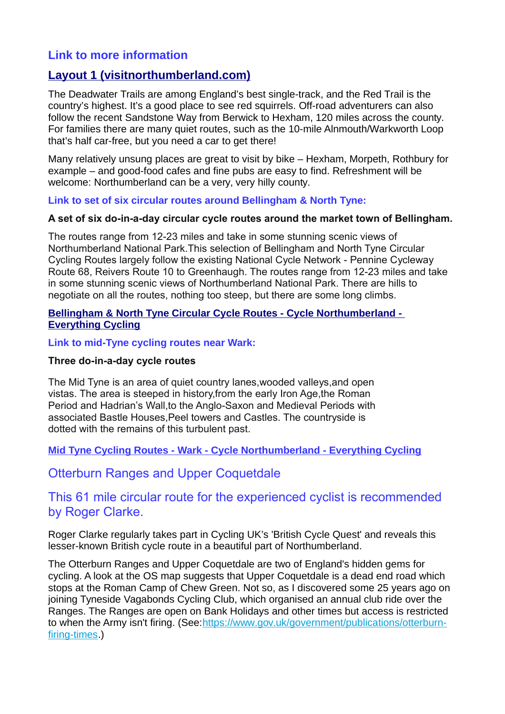# **Link to more information**

## **[Layout 1 \(visitnorthumberland.com\)](https://www.visitnorthumberland.com/getattachment/22740a53-958a-4e97-ab13-5caba45c09de/7-A-Day-Out-in-the-Forest-Kielder.pdf.aspx?lang=en-gb&ext=.pdf)**

The Deadwater Trails are among England's best single-track, and the Red Trail is the country's highest. It's a good place to see red squirrels. Off-road adventurers can also follow the recent Sandstone Way from Berwick to Hexham, 120 miles across the county. For families there are many quiet routes, such as the 10-mile Alnmouth/Warkworth Loop that's half car-free, but you need a car to get there!

Many relatively unsung places are great to visit by bike – Hexham, Morpeth, Rothbury for example – and good-food cafes and fine pubs are easy to find. Refreshment will be welcome: Northumberland can be a very, very hilly county.

**Link to set of six circular routes around Bellingham & North Tyne:**

#### **A set of six do-in-a-day circular cycle routes around the market town of Bellingham.**

The routes range from 12-23 miles and take in some stunning scenic views of Northumberland National Park.This selection of Bellingham and North Tyne Circular Cycling Routes largely follow the existing National Cycle Network - Pennine Cycleway Route 68, Reivers Route 10 to Greenhaugh. The routes range from 12-23 miles and take in some stunning scenic views of Northumberland National Park. There are hills to negotiate on all the routes, nothing too steep, but there are some long climbs.

#### **[Bellingham & North Tyne Circular Cycle Routes - Cycle Northumberland -](https://www.cyclenorthumberland.org.uk/listing/Bellingham--North-Tyne-Circular-Cycle-Routes)  [Everything Cycling](https://www.cyclenorthumberland.org.uk/listing/Bellingham--North-Tyne-Circular-Cycle-Routes)**

**Link to mid-Tyne cycling routes near Wark:**

#### **Three do-in-a-day cycle routes**

The Mid Tyne is an area of quiet country lanes,wooded valleys,and open vistas. The area is steeped in history,from the early Iron Age,the Roman Period and Hadrian's Wall,to the Anglo-Saxon and Medieval Periods with associated Bastle Houses,Peel towers and Castles. The countryside is dotted with the remains of this turbulent past.

**[Mid Tyne Cycling Routes - Wark - Cycle Northumberland - Everything Cycling](https://www.cyclenorthumberland.org.uk/listing/Mid-Tyne-Cycling-Routes)**

Otterburn Ranges and Upper Coquetdale

## This 61 mile circular route for the experienced cyclist is recommended by Roger Clarke.

Roger Clarke regularly takes part in Cycling UK's 'British Cycle Quest' and reveals this lesser-known British cycle route in a beautiful part of Northumberland.

The Otterburn Ranges and Upper Coquetdale are two of England's hidden gems for cycling. A look at the OS map suggests that Upper Coquetdale is a dead end road which stops at the Roman Camp of Chew Green. Not so, as I discovered some 25 years ago on joining Tyneside Vagabonds Cycling Club, which organised an annual club ride over the Ranges. The Ranges are open on Bank Holidays and other times but access is restricted to when the Army isn't firing. (See: https://www.gov.uk/government/publications/otterburn[firing-times.](https://www.gov.uk/government/publications/otterburn-firing-times))